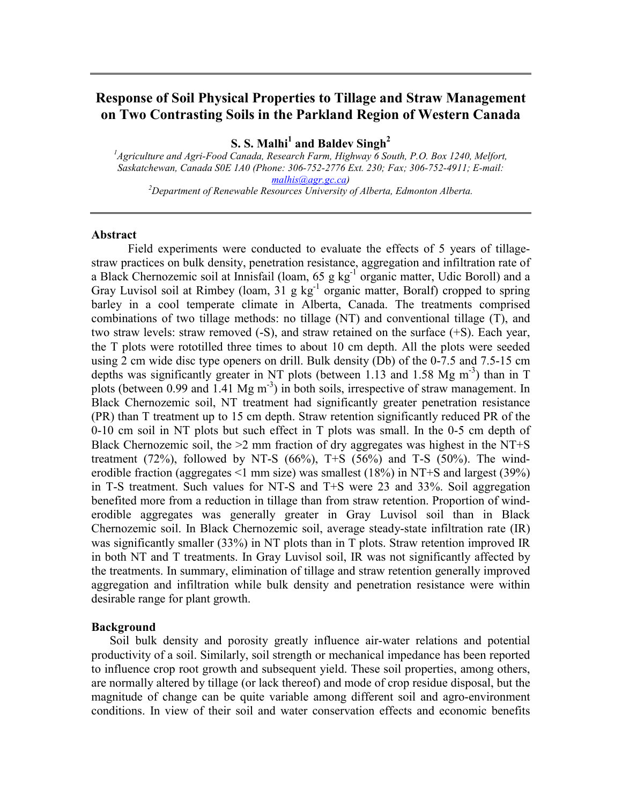# **Response of Soil Physical Properties to Tillage and Straw Management on Two Contrasting Soils in the Parkland Region of Western Canada**

**S. S. Malhi<sup>1</sup> and Baldev Singh<sup>2</sup>** 

*1 Agriculture and Agri-Food Canada, Research Farm, Highway 6 South, P.O. Box 1240, Melfort, Saskatchewan, Canada S0E 1A0 (Phone: 306-752-2776 Ext. 230; Fax; 306-752-4911; E-mail: malhis@agr.gc.ca*)<br><sup>2</sup>Department of Renewable Resources University of Alberta, Edmonton Alberta.

#### **Abstract**

Field experiments were conducted to evaluate the effects of 5 years of tillagestraw practices on bulk density, penetration resistance, aggregation and infiltration rate of a Black Chernozemic soil at Innisfail (loam, 65 g kg-1 organic matter, Udic Boroll) and a Gray Luvisol soil at Rimbey (loam,  $31 \text{ g kg}^{-1}$  organic matter, Boralf) cropped to spring barley in a cool temperate climate in Alberta, Canada. The treatments comprised combinations of two tillage methods: no tillage (NT) and conventional tillage (T), and two straw levels: straw removed (-S), and straw retained on the surface (+S). Each year, the T plots were rototilled three times to about 10 cm depth. All the plots were seeded using 2 cm wide disc type openers on drill. Bulk density (Db) of the 0-7.5 and 7.5-15 cm depths was significantly greater in NT plots (between 1.13 and 1.58 Mg  $m<sup>-3</sup>$ ) than in T plots (between 0.99 and 1.41 Mg m<sup>-3</sup>) in both soils, irrespective of straw management. In Black Chernozemic soil, NT treatment had significantly greater penetration resistance (PR) than T treatment up to 15 cm depth. Straw retention significantly reduced PR of the 0-10 cm soil in NT plots but such effect in T plots was small. In the 0-5 cm depth of Black Chernozemic soil, the  $>2$  mm fraction of dry aggregates was highest in the NT+S treatment  $(72\%)$ , followed by NT-S  $(66\%)$ , T+S  $(56\%)$  and T-S  $(50\%)$ . The winderodible fraction (aggregates <1 mm size) was smallest (18%) in NT+S and largest (39%) in T-S treatment. Such values for NT-S and T+S were 23 and 33%. Soil aggregation benefited more from a reduction in tillage than from straw retention. Proportion of winderodible aggregates was generally greater in Gray Luvisol soil than in Black Chernozemic soil. In Black Chernozemic soil, average steady-state infiltration rate (IR) was significantly smaller (33%) in NT plots than in T plots. Straw retention improved IR in both NT and T treatments. In Gray Luvisol soil, IR was not significantly affected by the treatments. In summary, elimination of tillage and straw retention generally improved aggregation and infiltration while bulk density and penetration resistance were within desirable range for plant growth.

#### **Background**

Soil bulk density and porosity greatly influence air-water relations and potential productivity of a soil. Similarly, soil strength or mechanical impedance has been reported to influence crop root growth and subsequent yield. These soil properties, among others, are normally altered by tillage (or lack thereof) and mode of crop residue disposal, but the magnitude of change can be quite variable among different soil and agro-environment conditions. In view of their soil and water conservation effects and economic benefits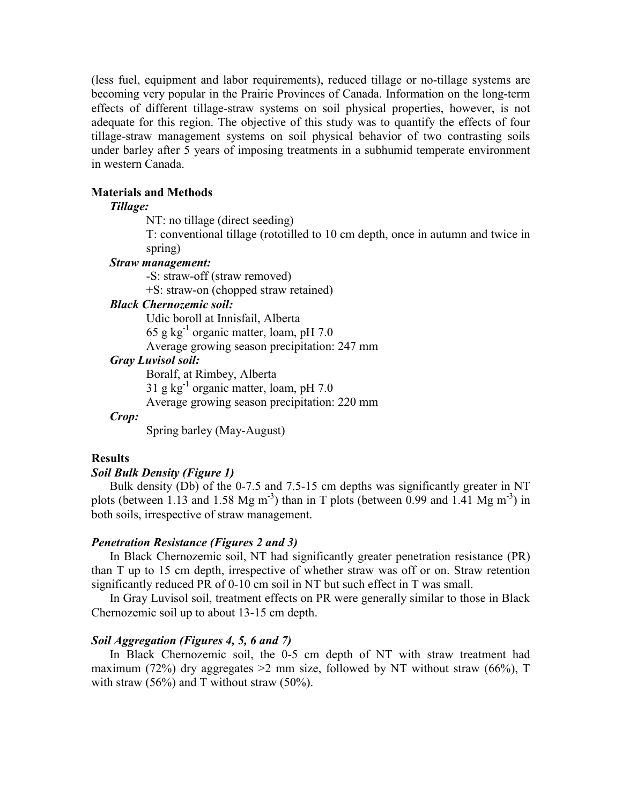(less fuel, equipment and labor requirements), reduced tillage or no-tillage systems are becoming very popular in the Prairie Provinces of Canada. Information on the long-term effects of different tillage-straw systems on soil physical properties, however, is not adequate for this region. The objective of this study was to quantify the effects of four tillage-straw management systems on soil physical behavior of two contrasting soils under barley after 5 years of imposing treatments in a subhumid temperate environment in western Canada.

### **Materials and Methods**

## *Tillage:*

NT: no tillage (direct seeding)

T: conventional tillage (rototilled to 10 cm depth, once in autumn and twice in spring)

## *Straw management:*

-S: straw-off (straw removed) +S: straw-on (chopped straw retained)

## *Black Chernozemic soil:*

Udic boroll at Innisfail, Alberta 65 g kg $^{-1}$  organic matter, loam, pH 7.0 Average growing season precipitation: 247 mm

## *Gray Luvisol soil:*

Boralf, at Rimbey, Alberta

31 g kg $^{-1}$  organic matter, loam, pH 7.0

Average growing season precipitation: 220 mm

### *Crop:*

Spring barley (May-August)

# **Results**

# *Soil Bulk Density (Figure 1)*

Bulk density (Db) of the 0-7.5 and 7.5-15 cm depths was significantly greater in NT plots (between 1.13 and 1.58 Mg m<sup>-3</sup>) than in T plots (between 0.99 and 1.41 Mg m<sup>-3</sup>) in both soils, irrespective of straw management.

### *Penetration Resistance (Figures 2 and 3)*

In Black Chernozemic soil, NT had significantly greater penetration resistance (PR) than T up to 15 cm depth, irrespective of whether straw was off or on. Straw retention significantly reduced PR of 0-10 cm soil in NT but such effect in T was small.

In Gray Luvisol soil, treatment effects on PR were generally similar to those in Black Chernozemic soil up to about 13-15 cm depth.

# *Soil Aggregation (Figures 4, 5, 6 and 7)*

In Black Chernozemic soil, the 0-5 cm depth of NT with straw treatment had maximum (72%) dry aggregates  $>2$  mm size, followed by NT without straw (66%), T with straw  $(56\%)$  and T without straw  $(50\%)$ .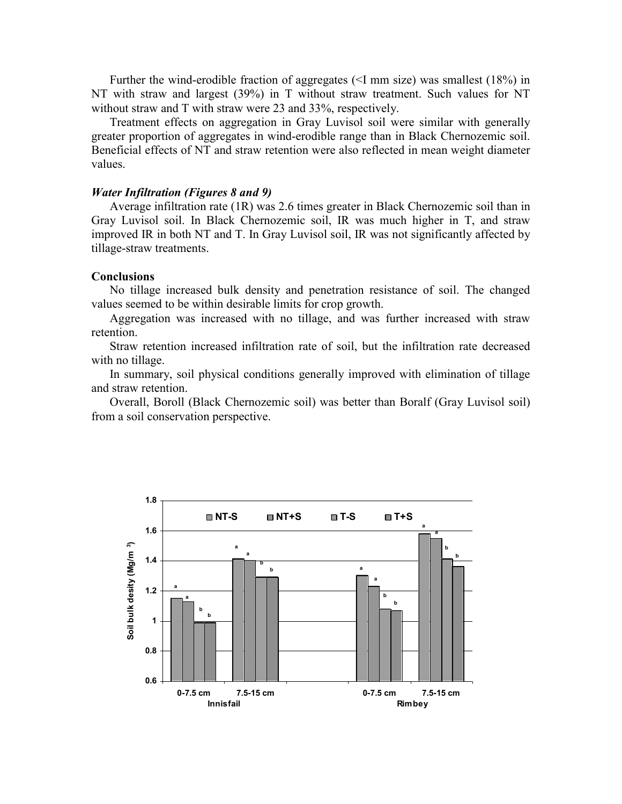Further the wind-erodible fraction of aggregates (<I mm size) was smallest (18%) in NT with straw and largest (39%) in T without straw treatment. Such values for NT without straw and T with straw were 23 and 33%, respectively.

Treatment effects on aggregation in Gray Luvisol soil were similar with generally greater proportion of aggregates in wind-erodible range than in Black Chernozemic soil. Beneficial effects of NT and straw retention were also reflected in mean weight diameter values.

#### *Water Infiltration (Figures 8 and 9)*

Average infiltration rate (1R) was 2.6 times greater in Black Chernozemic soil than in Gray Luvisol soil. In Black Chernozemic soil, IR was much higher in T, and straw improved IR in both NT and T. In Gray Luvisol soil, IR was not significantly affected by tillage-straw treatments.

#### **Conclusions**

No tillage increased bulk density and penetration resistance of soil. The changed values seemed to be within desirable limits for crop growth.

Aggregation was increased with no tillage, and was further increased with straw retention.

Straw retention increased infiltration rate of soil, but the infiltration rate decreased with no tillage.

In summary, soil physical conditions generally improved with elimination of tillage and straw retention.

Overall, Boroll (Black Chernozemic soil) was better than Boralf (Gray Luvisol soil) from a soil conservation perspective.

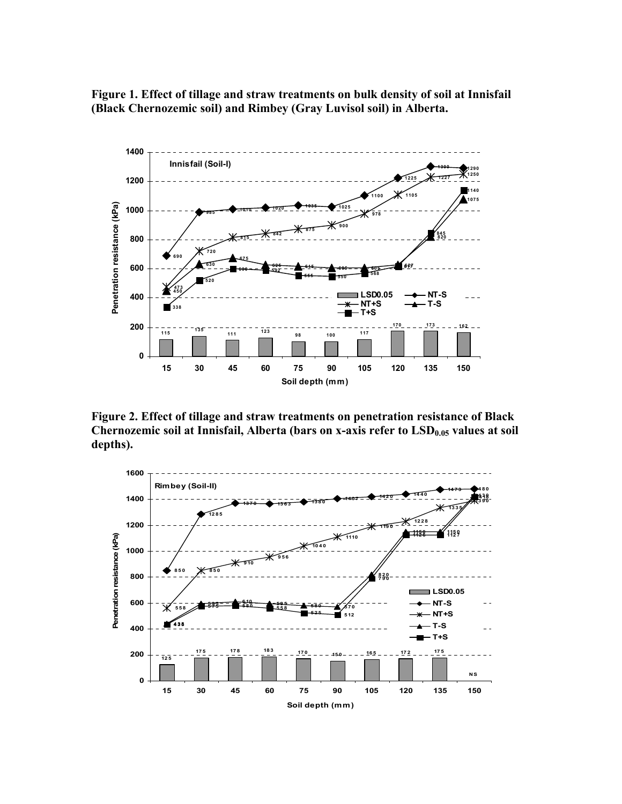**Figure 1. Effect of tillage and straw treatments on bulk density of soil at Innisfail (Black Chernozemic soil) and Rimbey (Gray Luvisol soil) in Alberta.** 



**Figure 2. Effect of tillage and straw treatments on penetration resistance of Black**  Chernozemic soil at Innisfail, Alberta (bars on x-axis refer to LSD<sub>0.05</sub> values at soil **depths).** 

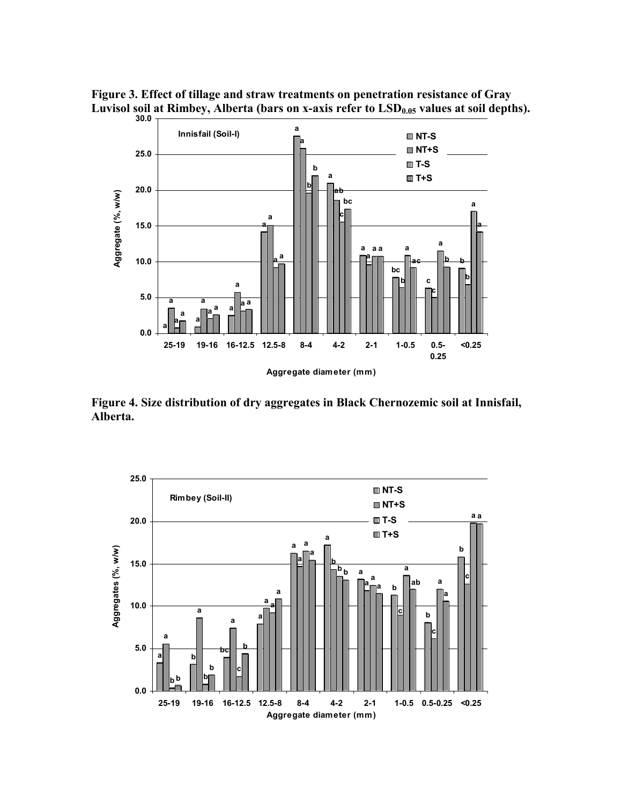



**Figure 4. Size distribution of dry aggregates in Black Chernozemic soil at Innisfail, Alberta.** 

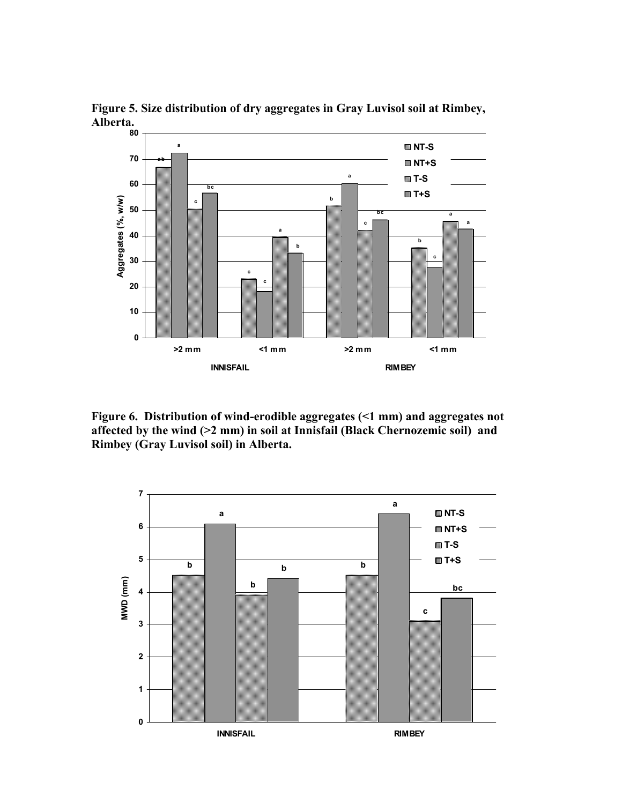

**Figure 5. Size distribution of dry aggregates in Gray Luvisol soil at Rimbey, Alberta.** 

**Figure 6. Distribution of wind-erodible aggregates (<1 mm) and aggregates not affected by the wind (>2 mm) in soil at Innisfail (Black Chernozemic soil) and Rimbey (Gray Luvisol soil) in Alberta.** 

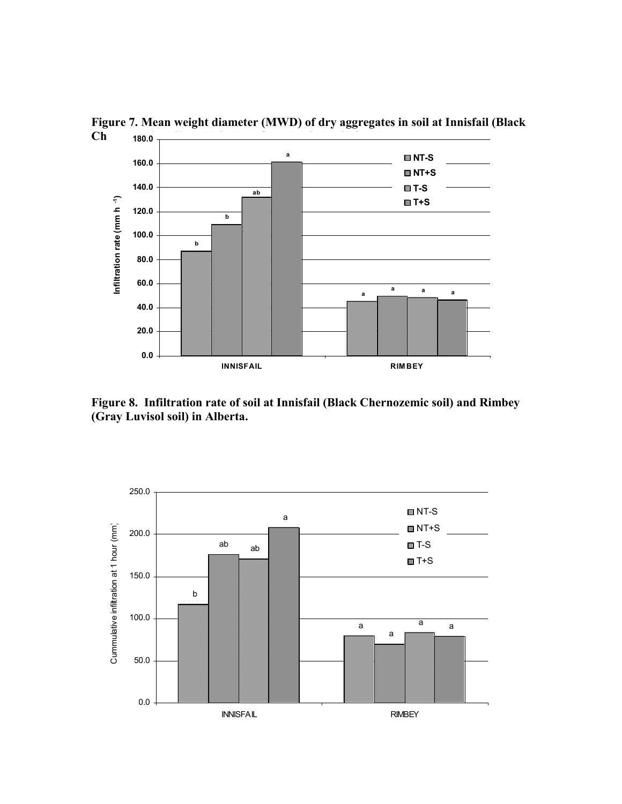

Figure 7. Mean weight diameter (MWD) of dry aggregates in soil at Innisfail (Black Ch 180.0  $\frac{1}{1000}$ 

**Figure 8. Infiltration rate of soil at Innisfail (Black Chernozemic soil) and Rimbey (Gray Luvisol soil) in Alberta.**